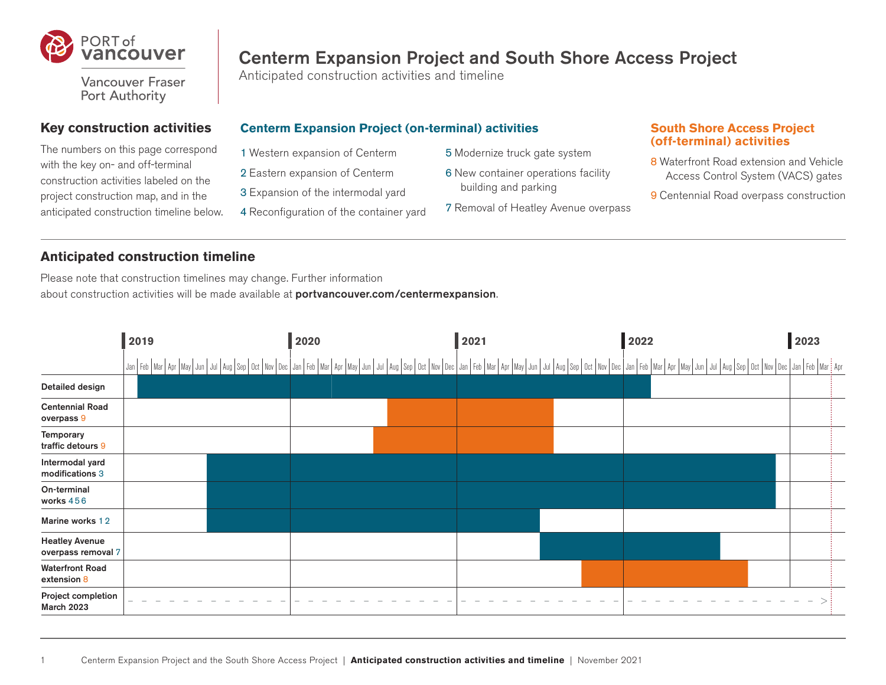

**Vancouver Fraser** Port Authority

## **Key construction activities**

The numbers on this page correspond with the key on- and off-terminal construction activities labeled on the project construction map, and in the anticipated construction timeline below.

# Centerm Expansion Project and South Shore Access Project

Anticipated construction activities and timeline

## **Centerm Expansion Project (on-terminal) activities**

- 1 Western expansion of Centerm
- 2 Eastern expansion of Centerm
- 3 Expansion of the intermodal yard
- 4 Reconfiguration of the container yard
- 5 Modernize truck gate system
- 6 New container operations facility building and parking
- 7 Removal of Heatley Avenue overpass

#### **South Shore Access Project (off-terminal) activities**

- 8 Waterfront Road extension and Vehicle Access Control System (VACS) gates
- 9 Centennial Road overpass construction

# **Anticipated construction timeline**

Please note that construction timelines may change. Further information about construction activities will be made available at **portvancouver.com/centermexpansion**.

|                                             | 2019 | 2020 | 2021 | 2022 | 2023                                                                                                                                                                                                                           |
|---------------------------------------------|------|------|------|------|--------------------------------------------------------------------------------------------------------------------------------------------------------------------------------------------------------------------------------|
|                                             |      |      |      |      | Jan Feb   Mar   Apr   May   Jun   Jun   Jun   Aug   Sep   Oct   Nov   Dec   Jan   Feb   Mar   Apr   May   Jun   Jun   Aug   Sep   Oct   Nov   Dec   Jan   Feb   Mar   Apr   May   Jun   Jun   Aug   Sep   Oct   May   Jun   Ju |
| Detailed design                             |      |      |      |      |                                                                                                                                                                                                                                |
| <b>Centennial Road</b><br>overpass 9        |      |      |      |      |                                                                                                                                                                                                                                |
| Temporary<br>traffic detours 9              |      |      |      |      |                                                                                                                                                                                                                                |
| Intermodal yard<br>modifications 3          |      |      |      |      |                                                                                                                                                                                                                                |
| On-terminal<br>works 456                    |      |      |      |      |                                                                                                                                                                                                                                |
| Marine works 12                             |      |      |      |      |                                                                                                                                                                                                                                |
| <b>Heatley Avenue</b><br>overpass removal 7 |      |      |      |      |                                                                                                                                                                                                                                |
| <b>Waterfront Road</b><br>extension 8       |      |      |      |      |                                                                                                                                                                                                                                |
| Project completion<br><b>March 2023</b>     |      |      |      |      |                                                                                                                                                                                                                                |